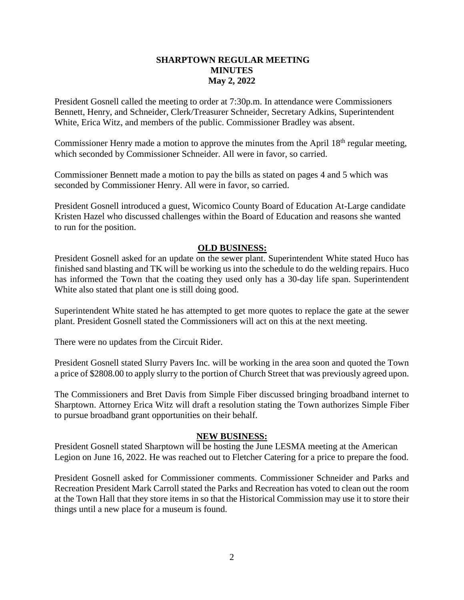## **SHARPTOWN REGULAR MEETING MINUTES May 2, 2022**

President Gosnell called the meeting to order at 7:30p.m. In attendance were Commissioners Bennett, Henry, and Schneider, Clerk/Treasurer Schneider, Secretary Adkins, Superintendent White, Erica Witz, and members of the public. Commissioner Bradley was absent.

Commissioner Henry made a motion to approve the minutes from the April 18<sup>th</sup> regular meeting, which seconded by Commissioner Schneider. All were in favor, so carried.

Commissioner Bennett made a motion to pay the bills as stated on pages 4 and 5 which was seconded by Commissioner Henry. All were in favor, so carried.

President Gosnell introduced a guest, Wicomico County Board of Education At-Large candidate Kristen Hazel who discussed challenges within the Board of Education and reasons she wanted to run for the position.

## **OLD BUSINESS:**

President Gosnell asked for an update on the sewer plant. Superintendent White stated Huco has finished sand blasting and TK will be working us into the schedule to do the welding repairs. Huco has informed the Town that the coating they used only has a 30-day life span. Superintendent White also stated that plant one is still doing good.

Superintendent White stated he has attempted to get more quotes to replace the gate at the sewer plant. President Gosnell stated the Commissioners will act on this at the next meeting.

There were no updates from the Circuit Rider.

President Gosnell stated Slurry Pavers Inc. will be working in the area soon and quoted the Town a price of \$2808.00 to apply slurry to the portion of Church Street that was previously agreed upon.

The Commissioners and Bret Davis from Simple Fiber discussed bringing broadband internet to Sharptown. Attorney Erica Witz will draft a resolution stating the Town authorizes Simple Fiber to pursue broadband grant opportunities on their behalf.

## **NEW BUSINESS:**

President Gosnell stated Sharptown will be hosting the June LESMA meeting at the American Legion on June 16, 2022. He was reached out to Fletcher Catering for a price to prepare the food.

President Gosnell asked for Commissioner comments. Commissioner Schneider and Parks and Recreation President Mark Carroll stated the Parks and Recreation has voted to clean out the room at the Town Hall that they store items in so that the Historical Commission may use it to store their things until a new place for a museum is found.